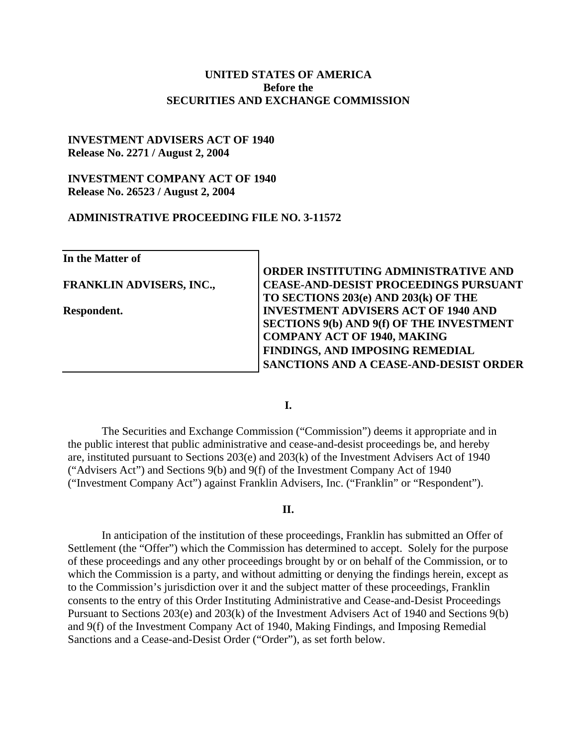#### **UNITED STATES OF AMERICA Before the SECURITIES AND EXCHANGE COMMISSION**

#### **INVESTMENT ADVISERS ACT OF 1940 Release No. 2271 / August 2, 2004**

#### **INVESTMENT COMPANY ACT OF 1940 Release No. 26523 / August 2, 2004**

#### **ADMINISTRATIVE PROCEEDING FILE NO. 3-11572**

**In the Matter of FRANKLIN ADVISERS, INC., Respondent. ORDER INSTITUTING ADMINISTRATIVE AND CEASE-AND-DESIST PROCEEDINGS PURSUANT TO SECTIONS 203(e) AND 203(k) OF THE INVESTMENT ADVISERS ACT OF 1940 AND SECTIONS 9(b) AND 9(f) OF THE INVESTMENT COMPANY ACT OF 1940, MAKING FINDINGS, AND IMPOSING REMEDIAL SANCTIONS AND A CEASE-AND-DESIST ORDER**

**I.** 

The Securities and Exchange Commission ("Commission") deems it appropriate and in the public interest that public administrative and cease-and-desist proceedings be, and hereby are, instituted pursuant to Sections 203(e) and 203(k) of the Investment Advisers Act of 1940 ("Advisers Act") and Sections 9(b) and 9(f) of the Investment Company Act of 1940 ("Investment Company Act") against Franklin Advisers, Inc. ("Franklin" or "Respondent").

#### **II.**

In anticipation of the institution of these proceedings, Franklin has submitted an Offer of Settlement (the "Offer") which the Commission has determined to accept. Solely for the purpose of these proceedings and any other proceedings brought by or on behalf of the Commission, or to which the Commission is a party, and without admitting or denying the findings herein, except as to the Commission's jurisdiction over it and the subject matter of these proceedings, Franklin consents to the entry of this Order Instituting Administrative and Cease-and-Desist Proceedings Pursuant to Sections 203(e) and 203(k) of the Investment Advisers Act of 1940 and Sections 9(b) and 9(f) of the Investment Company Act of 1940, Making Findings, and Imposing Remedial Sanctions and a Cease-and-Desist Order ("Order"), as set forth below.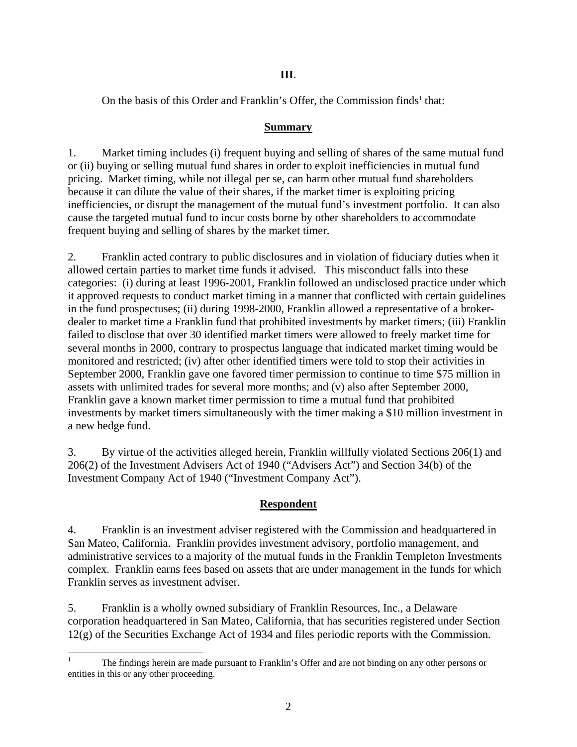## **III**.

On [t](#page-1-0)he basis of this Order and Franklin's Offer, the Commission finds<sup>1</sup> that:

## **Summary**

1. Market timing includes (i) frequent buying and selling of shares of the same mutual fund or (ii) buying or selling mutual fund shares in order to exploit inefficiencies in mutual fund pricing. Market timing, while not illegal per se, can harm other mutual fund shareholders because it can dilute the value of their shares, if the market timer is exploiting pricing inefficiencies, or disrupt the management of the mutual fund's investment portfolio. It can also cause the targeted mutual fund to incur costs borne by other shareholders to accommodate frequent buying and selling of shares by the market timer.

2. Franklin acted contrary to public disclosures and in violation of fiduciary duties when it allowed certain parties to market time funds it advised. This misconduct falls into these categories: (i) during at least 1996-2001, Franklin followed an undisclosed practice under which it approved requests to conduct market timing in a manner that conflicted with certain guidelines in the fund prospectuses; (ii) during 1998-2000, Franklin allowed a representative of a brokerdealer to market time a Franklin fund that prohibited investments by market timers; (iii) Franklin failed to disclose that over 30 identified market timers were allowed to freely market time for several months in 2000, contrary to prospectus language that indicated market timing would be monitored and restricted; (iv) after other identified timers were told to stop their activities in September 2000, Franklin gave one favored timer permission to continue to time \$75 million in assets with unlimited trades for several more months; and (v) also after September 2000, Franklin gave a known market timer permission to time a mutual fund that prohibited investments by market timers simultaneously with the timer making a \$10 million investment in a new hedge fund.

3. By virtue of the activities alleged herein, Franklin willfully violated Sections 206(1) and 206(2) of the Investment Advisers Act of 1940 ("Advisers Act") and Section 34(b) of the Investment Company Act of 1940 ("Investment Company Act").

# **Respondent**

4. Franklin is an investment adviser registered with the Commission and headquartered in San Mateo, California. Franklin provides investment advisory, portfolio management, and administrative services to a majority of the mutual funds in the Franklin Templeton Investments complex. Franklin earns fees based on assets that are under management in the funds for which Franklin serves as investment adviser.

5. Franklin is a wholly owned subsidiary of Franklin Resources, Inc., a Delaware corporation headquartered in San Mateo, California, that has securities registered under Section 12(g) of the Securities Exchange Act of 1934 and files periodic reports with the Commission.

<span id="page-1-0"></span> $\frac{1}{1}$  The findings herein are made pursuant to Franklin's Offer and are not binding on any other persons or entities in this or any other proceeding.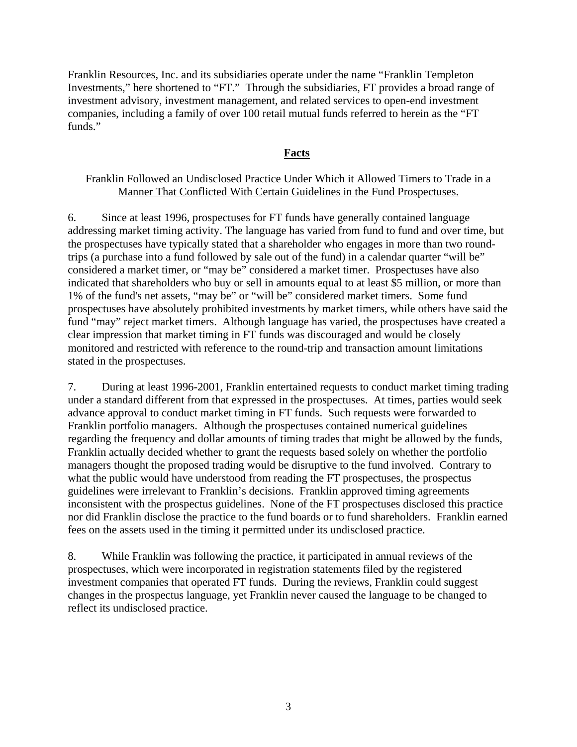Franklin Resources, Inc. and its subsidiaries operate under the name "Franklin Templeton Investments," here shortened to "FT." Through the subsidiaries, FT provides a broad range of investment advisory, investment management, and related services to open-end investment companies, including a family of over 100 retail mutual funds referred to herein as the "FT funds."

#### **Facts**

### Franklin Followed an Undisclosed Practice Under Which it Allowed Timers to Trade in a Manner That Conflicted With Certain Guidelines in the Fund Prospectuses.

6. Since at least 1996, prospectuses for FT funds have generally contained language addressing market timing activity. The language has varied from fund to fund and over time, but the prospectuses have typically stated that a shareholder who engages in more than two roundtrips (a purchase into a fund followed by sale out of the fund) in a calendar quarter "will be" considered a market timer, or "may be" considered a market timer. Prospectuses have also indicated that shareholders who buy or sell in amounts equal to at least \$5 million, or more than 1% of the fund's net assets, "may be" or "will be" considered market timers. Some fund prospectuses have absolutely prohibited investments by market timers, while others have said the fund "may" reject market timers. Although language has varied, the prospectuses have created a clear impression that market timing in FT funds was discouraged and would be closely monitored and restricted with reference to the round-trip and transaction amount limitations stated in the prospectuses.

7. During at least 1996-2001, Franklin entertained requests to conduct market timing trading under a standard different from that expressed in the prospectuses. At times, parties would seek advance approval to conduct market timing in FT funds. Such requests were forwarded to Franklin portfolio managers. Although the prospectuses contained numerical guidelines regarding the frequency and dollar amounts of timing trades that might be allowed by the funds, Franklin actually decided whether to grant the requests based solely on whether the portfolio managers thought the proposed trading would be disruptive to the fund involved. Contrary to what the public would have understood from reading the FT prospectuses, the prospectus guidelines were irrelevant to Franklin's decisions. Franklin approved timing agreements inconsistent with the prospectus guidelines. None of the FT prospectuses disclosed this practice nor did Franklin disclose the practice to the fund boards or to fund shareholders. Franklin earned fees on the assets used in the timing it permitted under its undisclosed practice.

8. While Franklin was following the practice, it participated in annual reviews of the prospectuses, which were incorporated in registration statements filed by the registered investment companies that operated FT funds. During the reviews, Franklin could suggest changes in the prospectus language, yet Franklin never caused the language to be changed to reflect its undisclosed practice.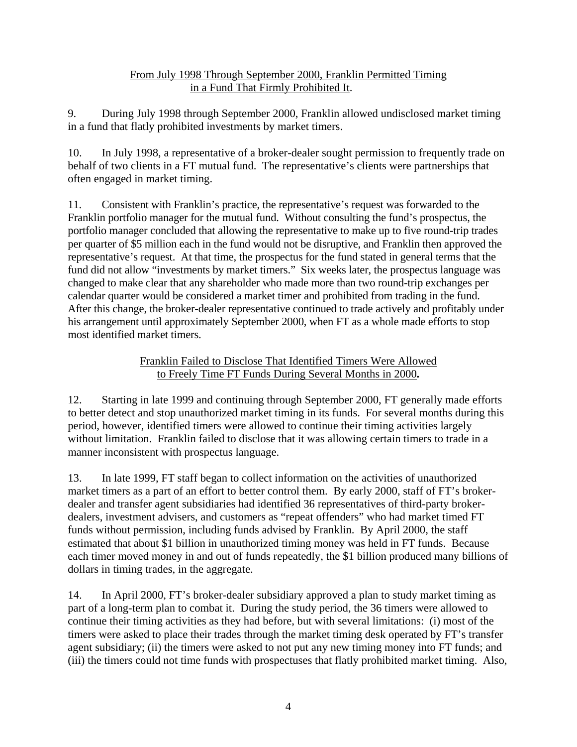## From July 1998 Through September 2000, Franklin Permitted Timing in a Fund That Firmly Prohibited It.

9. During July 1998 through September 2000, Franklin allowed undisclosed market timing in a fund that flatly prohibited investments by market timers.

10. In July 1998, a representative of a broker-dealer sought permission to frequently trade on behalf of two clients in a FT mutual fund. The representative's clients were partnerships that often engaged in market timing.

11. Consistent with Franklin's practice, the representative's request was forwarded to the Franklin portfolio manager for the mutual fund. Without consulting the fund's prospectus, the portfolio manager concluded that allowing the representative to make up to five round-trip trades per quarter of \$5 million each in the fund would not be disruptive, and Franklin then approved the representative's request. At that time, the prospectus for the fund stated in general terms that the fund did not allow "investments by market timers." Six weeks later, the prospectus language was changed to make clear that any shareholder who made more than two round-trip exchanges per calendar quarter would be considered a market timer and prohibited from trading in the fund. After this change, the broker-dealer representative continued to trade actively and profitably under his arrangement until approximately September 2000, when FT as a whole made efforts to stop most identified market timers.

## Franklin Failed to Disclose That Identified Timers Were Allowed to Freely Time FT Funds During Several Months in 2000**.**

12. Starting in late 1999 and continuing through September 2000, FT generally made efforts to better detect and stop unauthorized market timing in its funds. For several months during this period, however, identified timers were allowed to continue their timing activities largely without limitation. Franklin failed to disclose that it was allowing certain timers to trade in a manner inconsistent with prospectus language.

13. In late 1999, FT staff began to collect information on the activities of unauthorized market timers as a part of an effort to better control them. By early 2000, staff of FT's brokerdealer and transfer agent subsidiaries had identified 36 representatives of third-party brokerdealers, investment advisers, and customers as "repeat offenders" who had market timed FT funds without permission, including funds advised by Franklin. By April 2000, the staff estimated that about \$1 billion in unauthorized timing money was held in FT funds. Because each timer moved money in and out of funds repeatedly, the \$1 billion produced many billions of dollars in timing trades, in the aggregate.

14. In April 2000, FT's broker-dealer subsidiary approved a plan to study market timing as part of a long-term plan to combat it. During the study period, the 36 timers were allowed to continue their timing activities as they had before, but with several limitations: (i) most of the timers were asked to place their trades through the market timing desk operated by FT's transfer agent subsidiary; (ii) the timers were asked to not put any new timing money into FT funds; and (iii) the timers could not time funds with prospectuses that flatly prohibited market timing. Also,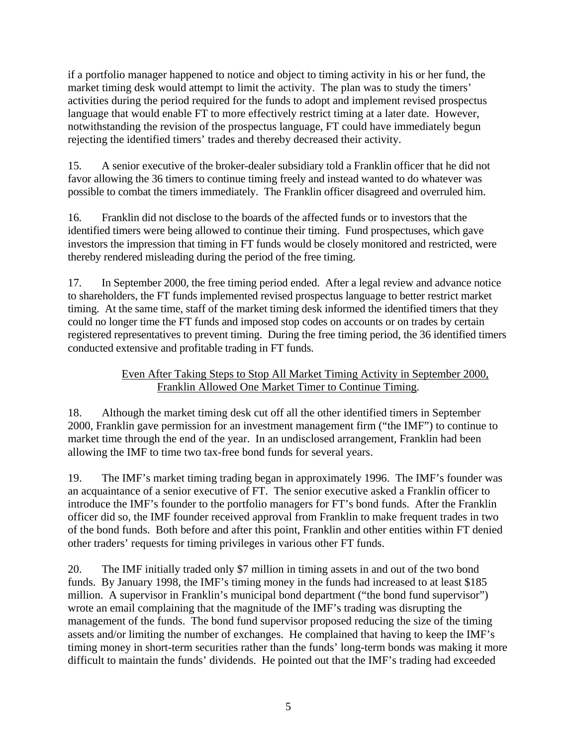if a portfolio manager happened to notice and object to timing activity in his or her fund, the market timing desk would attempt to limit the activity. The plan was to study the timers' activities during the period required for the funds to adopt and implement revised prospectus language that would enable FT to more effectively restrict timing at a later date. However, notwithstanding the revision of the prospectus language, FT could have immediately begun rejecting the identified timers' trades and thereby decreased their activity.

15. A senior executive of the broker-dealer subsidiary told a Franklin officer that he did not favor allowing the 36 timers to continue timing freely and instead wanted to do whatever was possible to combat the timers immediately. The Franklin officer disagreed and overruled him.

16. Franklin did not disclose to the boards of the affected funds or to investors that the identified timers were being allowed to continue their timing. Fund prospectuses, which gave investors the impression that timing in FT funds would be closely monitored and restricted, were thereby rendered misleading during the period of the free timing.

17. In September 2000, the free timing period ended. After a legal review and advance notice to shareholders, the FT funds implemented revised prospectus language to better restrict market timing. At the same time, staff of the market timing desk informed the identified timers that they could no longer time the FT funds and imposed stop codes on accounts or on trades by certain registered representatives to prevent timing. During the free timing period, the 36 identified timers conducted extensive and profitable trading in FT funds.

# Even After Taking Steps to Stop All Market Timing Activity in September 2000, Franklin Allowed One Market Timer to Continue Timing.

18. Although the market timing desk cut off all the other identified timers in September 2000, Franklin gave permission for an investment management firm ("the IMF") to continue to market time through the end of the year. In an undisclosed arrangement, Franklin had been allowing the IMF to time two tax-free bond funds for several years.

19. The IMF's market timing trading began in approximately 1996. The IMF's founder was an acquaintance of a senior executive of FT. The senior executive asked a Franklin officer to introduce the IMF's founder to the portfolio managers for FT's bond funds. After the Franklin officer did so, the IMF founder received approval from Franklin to make frequent trades in two of the bond funds. Both before and after this point, Franklin and other entities within FT denied other traders' requests for timing privileges in various other FT funds.

20. The IMF initially traded only \$7 million in timing assets in and out of the two bond funds. By January 1998, the IMF's timing money in the funds had increased to at least \$185 million. A supervisor in Franklin's municipal bond department ("the bond fund supervisor") wrote an email complaining that the magnitude of the IMF's trading was disrupting the management of the funds. The bond fund supervisor proposed reducing the size of the timing assets and/or limiting the number of exchanges. He complained that having to keep the IMF's timing money in short-term securities rather than the funds' long-term bonds was making it more difficult to maintain the funds' dividends. He pointed out that the IMF's trading had exceeded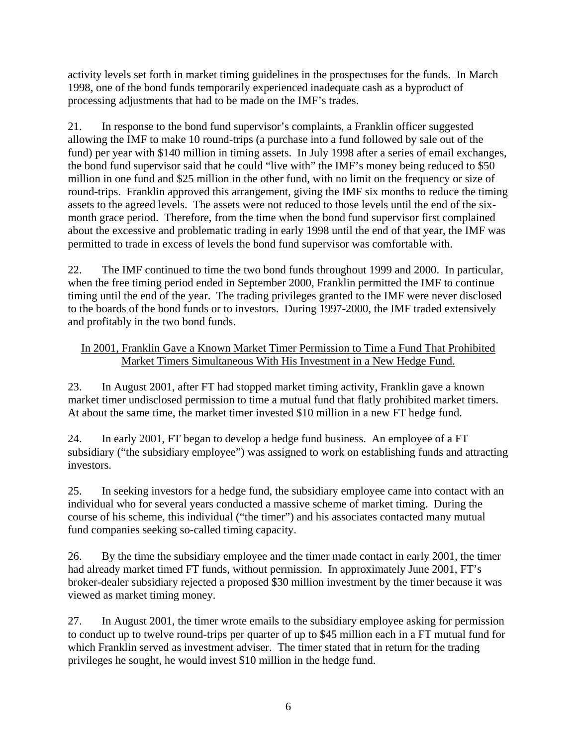activity levels set forth in market timing guidelines in the prospectuses for the funds. In March 1998, one of the bond funds temporarily experienced inadequate cash as a byproduct of processing adjustments that had to be made on the IMF's trades.

21. In response to the bond fund supervisor's complaints, a Franklin officer suggested allowing the IMF to make 10 round-trips (a purchase into a fund followed by sale out of the fund) per year with \$140 million in timing assets. In July 1998 after a series of email exchanges, the bond fund supervisor said that he could "live with" the IMF's money being reduced to \$50 million in one fund and \$25 million in the other fund, with no limit on the frequency or size of round-trips. Franklin approved this arrangement, giving the IMF six months to reduce the timing assets to the agreed levels. The assets were not reduced to those levels until the end of the sixmonth grace period. Therefore, from the time when the bond fund supervisor first complained about the excessive and problematic trading in early 1998 until the end of that year, the IMF was permitted to trade in excess of levels the bond fund supervisor was comfortable with.

22. The IMF continued to time the two bond funds throughout 1999 and 2000. In particular, when the free timing period ended in September 2000, Franklin permitted the IMF to continue timing until the end of the year. The trading privileges granted to the IMF were never disclosed to the boards of the bond funds or to investors. During 1997-2000, the IMF traded extensively and profitably in the two bond funds.

# In 2001, Franklin Gave a Known Market Timer Permission to Time a Fund That Prohibited Market Timers Simultaneous With His Investment in a New Hedge Fund.

23. In August 2001, after FT had stopped market timing activity, Franklin gave a known market timer undisclosed permission to time a mutual fund that flatly prohibited market timers. At about the same time, the market timer invested \$10 million in a new FT hedge fund.

24. In early 2001, FT began to develop a hedge fund business. An employee of a FT subsidiary ("the subsidiary employee") was assigned to work on establishing funds and attracting investors.

25. In seeking investors for a hedge fund, the subsidiary employee came into contact with an individual who for several years conducted a massive scheme of market timing. During the course of his scheme, this individual ("the timer") and his associates contacted many mutual fund companies seeking so-called timing capacity.

26. By the time the subsidiary employee and the timer made contact in early 2001, the timer had already market timed FT funds, without permission. In approximately June 2001, FT's broker-dealer subsidiary rejected a proposed \$30 million investment by the timer because it was viewed as market timing money.

27. In August 2001, the timer wrote emails to the subsidiary employee asking for permission to conduct up to twelve round-trips per quarter of up to \$45 million each in a FT mutual fund for which Franklin served as investment adviser. The timer stated that in return for the trading privileges he sought, he would invest \$10 million in the hedge fund.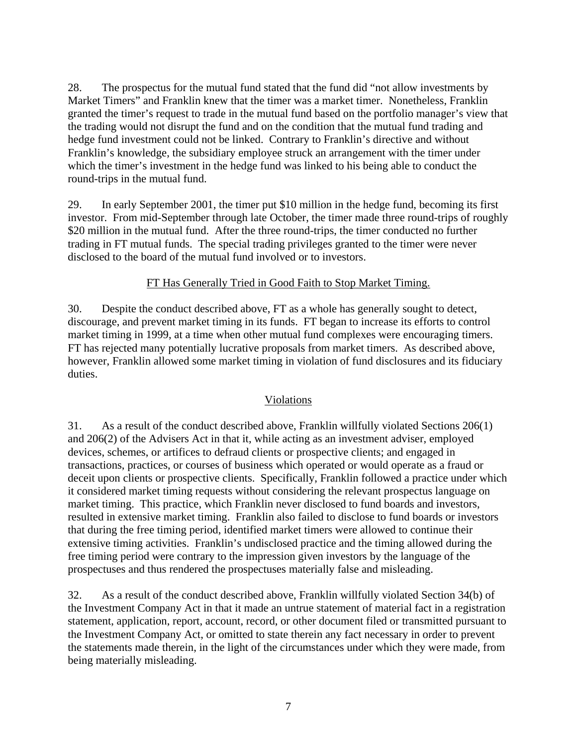28. The prospectus for the mutual fund stated that the fund did "not allow investments by Market Timers" and Franklin knew that the timer was a market timer. Nonetheless, Franklin granted the timer's request to trade in the mutual fund based on the portfolio manager's view that the trading would not disrupt the fund and on the condition that the mutual fund trading and hedge fund investment could not be linked. Contrary to Franklin's directive and without Franklin's knowledge, the subsidiary employee struck an arrangement with the timer under which the timer's investment in the hedge fund was linked to his being able to conduct the round-trips in the mutual fund.

29. In early September 2001, the timer put \$10 million in the hedge fund, becoming its first investor. From mid-September through late October, the timer made three round-trips of roughly \$20 million in the mutual fund. After the three round-trips, the timer conducted no further trading in FT mutual funds. The special trading privileges granted to the timer were never disclosed to the board of the mutual fund involved or to investors.

### FT Has Generally Tried in Good Faith to Stop Market Timing.

30. Despite the conduct described above, FT as a whole has generally sought to detect, discourage, and prevent market timing in its funds. FT began to increase its efforts to control market timing in 1999, at a time when other mutual fund complexes were encouraging timers. FT has rejected many potentially lucrative proposals from market timers. As described above, however, Franklin allowed some market timing in violation of fund disclosures and its fiduciary duties.

### Violations

31. As a result of the conduct described above, Franklin willfully violated Sections 206(1) and 206(2) of the Advisers Act in that it, while acting as an investment adviser, employed devices, schemes, or artifices to defraud clients or prospective clients; and engaged in transactions, practices, or courses of business which operated or would operate as a fraud or deceit upon clients or prospective clients. Specifically, Franklin followed a practice under which it considered market timing requests without considering the relevant prospectus language on market timing. This practice, which Franklin never disclosed to fund boards and investors, resulted in extensive market timing. Franklin also failed to disclose to fund boards or investors that during the free timing period, identified market timers were allowed to continue their extensive timing activities. Franklin's undisclosed practice and the timing allowed during the free timing period were contrary to the impression given investors by the language of the prospectuses and thus rendered the prospectuses materially false and misleading.

32. As a result of the conduct described above, Franklin willfully violated Section 34(b) of the Investment Company Act in that it made an untrue statement of material fact in a registration statement, application, report, account, record, or other document filed or transmitted pursuant to the Investment Company Act, or omitted to state therein any fact necessary in order to prevent the statements made therein, in the light of the circumstances under which they were made, from being materially misleading.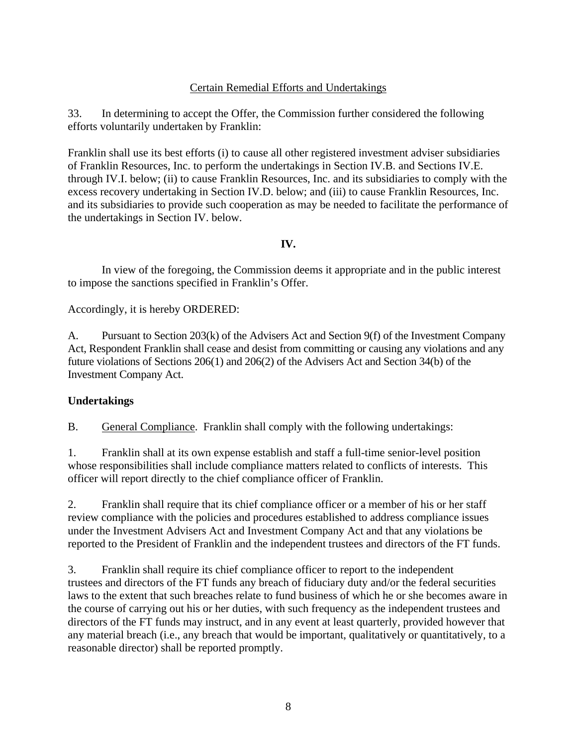## Certain Remedial Efforts and Undertakings

33. In determining to accept the Offer, the Commission further considered the following efforts voluntarily undertaken by Franklin:

Franklin shall use its best efforts (i) to cause all other registered investment adviser subsidiaries of Franklin Resources, Inc. to perform the undertakings in Section IV.B. and Sections IV.E. through IV.I. below; (ii) to cause Franklin Resources, Inc. and its subsidiaries to comply with the excess recovery undertaking in Section IV.D. below; and (iii) to cause Franklin Resources, Inc. and its subsidiaries to provide such cooperation as may be needed to facilitate the performance of the undertakings in Section IV. below.

**IV.** 

In view of the foregoing, the Commission deems it appropriate and in the public interest to impose the sanctions specified in Franklin's Offer.

Accordingly, it is hereby ORDERED:

A. Pursuant to Section 203(k) of the Advisers Act and Section 9(f) of the Investment Company Act, Respondent Franklin shall cease and desist from committing or causing any violations and any future violations of Sections 206(1) and 206(2) of the Advisers Act and Section 34(b) of the Investment Company Act.

### **Undertakings**

B. General Compliance. Franklin shall comply with the following undertakings:

1. Franklin shall at its own expense establish and staff a full-time senior-level position whose responsibilities shall include compliance matters related to conflicts of interests. This officer will report directly to the chief compliance officer of Franklin.

2. Franklin shall require that its chief compliance officer or a member of his or her staff review compliance with the policies and procedures established to address compliance issues under the Investment Advisers Act and Investment Company Act and that any violations be reported to the President of Franklin and the independent trustees and directors of the FT funds.

3. Franklin shall require its chief compliance officer to report to the independent trustees and directors of the FT funds any breach of fiduciary duty and/or the federal securities laws to the extent that such breaches relate to fund business of which he or she becomes aware in the course of carrying out his or her duties, with such frequency as the independent trustees and directors of the FT funds may instruct, and in any event at least quarterly, provided however that any material breach (i.e., any breach that would be important, qualitatively or quantitatively, to a reasonable director) shall be reported promptly.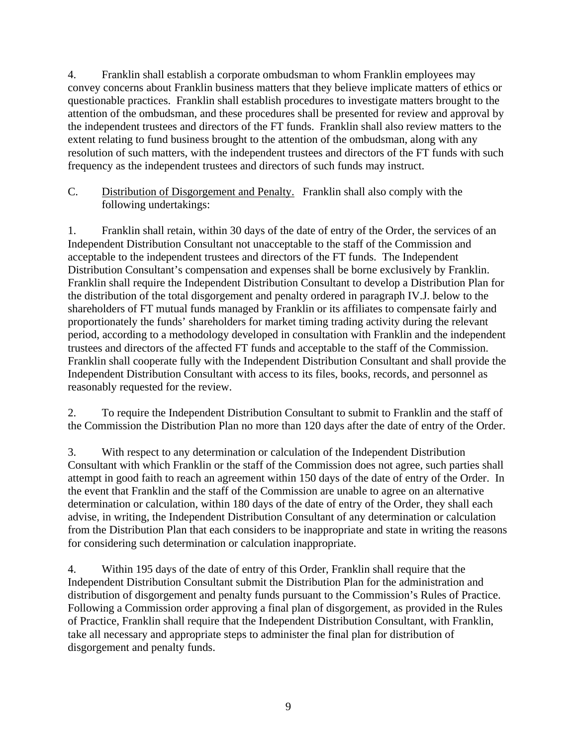4. Franklin shall establish a corporate ombudsman to whom Franklin employees may convey concerns about Franklin business matters that they believe implicate matters of ethics or questionable practices. Franklin shall establish procedures to investigate matters brought to the attention of the ombudsman, and these procedures shall be presented for review and approval by the independent trustees and directors of the FT funds. Franklin shall also review matters to the extent relating to fund business brought to the attention of the ombudsman, along with any resolution of such matters, with the independent trustees and directors of the FT funds with such frequency as the independent trustees and directors of such funds may instruct.

 C.Distribution of Disgorgement and Penalty. Franklin shall also comply with the following undertakings:

1. Franklin shall retain, within 30 days of the date of entry of the Order, the services of an Independent Distribution Consultant not unacceptable to the staff of the Commission and acceptable to the independent trustees and directors of the FT funds. The Independent Distribution Consultant's compensation and expenses shall be borne exclusively by Franklin. Franklin shall require the Independent Distribution Consultant to develop a Distribution Plan for the distribution of the total disgorgement and penalty ordered in paragraph IV.J. below to the shareholders of FT mutual funds managed by Franklin or its affiliates to compensate fairly and proportionately the funds' shareholders for market timing trading activity during the relevant period, according to a methodology developed in consultation with Franklin and the independent trustees and directors of the affected FT funds and acceptable to the staff of the Commission. Franklin shall cooperate fully with the Independent Distribution Consultant and shall provide the Independent Distribution Consultant with access to its files, books, records, and personnel as reasonably requested for the review.

2. To require the Independent Distribution Consultant to submit to Franklin and the staff of the Commission the Distribution Plan no more than 120 days after the date of entry of the Order.

3. With respect to any determination or calculation of the Independent Distribution Consultant with which Franklin or the staff of the Commission does not agree, such parties shall attempt in good faith to reach an agreement within 150 days of the date of entry of the Order. In the event that Franklin and the staff of the Commission are unable to agree on an alternative determination or calculation, within 180 days of the date of entry of the Order, they shall each advise, in writing, the Independent Distribution Consultant of any determination or calculation from the Distribution Plan that each considers to be inappropriate and state in writing the reasons for considering such determination or calculation inappropriate.

4. Within 195 days of the date of entry of this Order, Franklin shall require that the Independent Distribution Consultant submit the Distribution Plan for the administration and distribution of disgorgement and penalty funds pursuant to the Commission's Rules of Practice. Following a Commission order approving a final plan of disgorgement, as provided in the Rules of Practice, Franklin shall require that the Independent Distribution Consultant, with Franklin, take all necessary and appropriate steps to administer the final plan for distribution of disgorgement and penalty funds.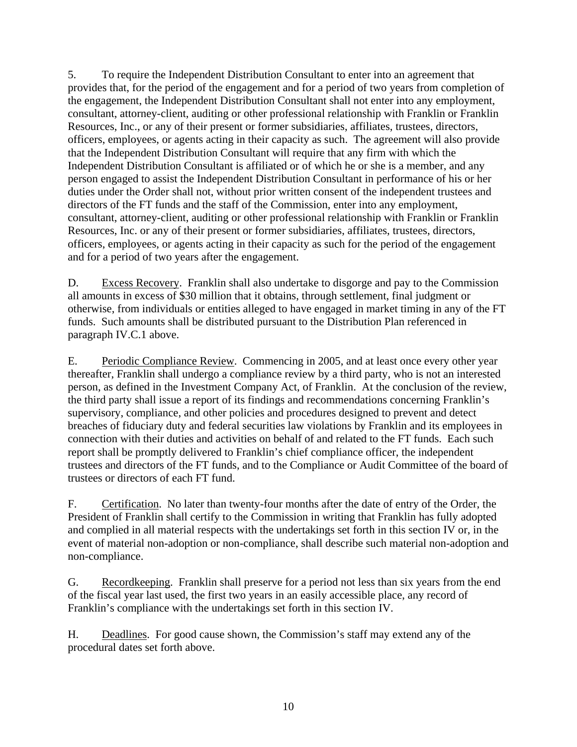5. To require the Independent Distribution Consultant to enter into an agreement that provides that, for the period of the engagement and for a period of two years from completion of the engagement, the Independent Distribution Consultant shall not enter into any employment, consultant, attorney-client, auditing or other professional relationship with Franklin or Franklin Resources, Inc., or any of their present or former subsidiaries, affiliates, trustees, directors, officers, employees, or agents acting in their capacity as such. The agreement will also provide that the Independent Distribution Consultant will require that any firm with which the Independent Distribution Consultant is affiliated or of which he or she is a member, and any person engaged to assist the Independent Distribution Consultant in performance of his or her duties under the Order shall not, without prior written consent of the independent trustees and directors of the FT funds and the staff of the Commission, enter into any employment, consultant, attorney-client, auditing or other professional relationship with Franklin or Franklin Resources, Inc. or any of their present or former subsidiaries, affiliates, trustees, directors, officers, employees, or agents acting in their capacity as such for the period of the engagement and for a period of two years after the engagement.

 D. Excess Recovery. Franklin shall also undertake to disgorge and pay to the Commission all amounts in excess of \$30 million that it obtains, through settlement, final judgment or otherwise, from individuals or entities alleged to have engaged in market timing in any of the FT funds. Such amounts shall be distributed pursuant to the Distribution Plan referenced in paragraph IV.C.1 above.

 E.Periodic Compliance Review. Commencing in 2005, and at least once every other year thereafter, Franklin shall undergo a compliance review by a third party, who is not an interested person, as defined in the Investment Company Act, of Franklin. At the conclusion of the review, the third party shall issue a report of its findings and recommendations concerning Franklin's supervisory, compliance, and other policies and procedures designed to prevent and detect breaches of fiduciary duty and federal securities law violations by Franklin and its employees in connection with their duties and activities on behalf of and related to the FT funds. Each such report shall be promptly delivered to Franklin's chief compliance officer, the independent trustees and directors of the FT funds, and to the Compliance or Audit Committee of the board of trustees or directors of each FT fund.

 F.Certification. No later than twenty-four months after the date of entry of the Order, the President of Franklin shall certify to the Commission in writing that Franklin has fully adopted and complied in all material respects with the undertakings set forth in this section IV or, in the event of material non-adoption or non-compliance, shall describe such material non-adoption and non-compliance.

 G.Recordkeeping. Franklin shall preserve for a period not less than six years from the end of the fiscal year last used, the first two years in an easily accessible place, any record of Franklin's compliance with the undertakings set forth in this section IV.

 H.Deadlines. For good cause shown, the Commission's staff may extend any of the procedural dates set forth above.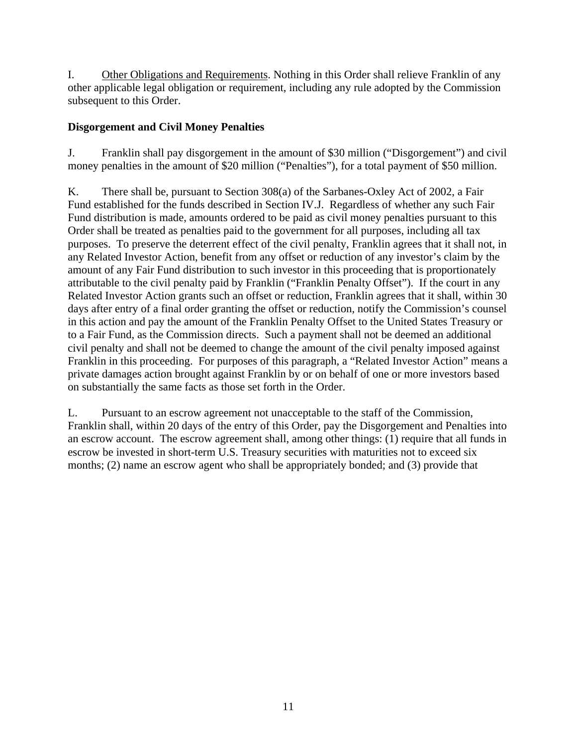I. Other Obligations and Requirements. Nothing in this Order shall relieve Franklin of any other applicable legal obligation or requirement, including any rule adopted by the Commission subsequent to this Order.

# **Disgorgement and Civil Money Penalties**

J. Franklin shall pay disgorgement in the amount of \$30 million ("Disgorgement") and civil money penalties in the amount of \$20 million ("Penalties"), for a total payment of \$50 million.

K. There shall be, pursuant to Section 308(a) of the Sarbanes-Oxley Act of 2002, a Fair Fund established for the funds described in Section IV.J. Regardless of whether any such Fair Fund distribution is made, amounts ordered to be paid as civil money penalties pursuant to this Order shall be treated as penalties paid to the government for all purposes, including all tax purposes. To preserve the deterrent effect of the civil penalty, Franklin agrees that it shall not, in any Related Investor Action, benefit from any offset or reduction of any investor's claim by the amount of any Fair Fund distribution to such investor in this proceeding that is proportionately attributable to the civil penalty paid by Franklin ("Franklin Penalty Offset"). If the court in any Related Investor Action grants such an offset or reduction, Franklin agrees that it shall, within 30 days after entry of a final order granting the offset or reduction, notify the Commission's counsel in this action and pay the amount of the Franklin Penalty Offset to the United States Treasury or to a Fair Fund, as the Commission directs. Such a payment shall not be deemed an additional civil penalty and shall not be deemed to change the amount of the civil penalty imposed against Franklin in this proceeding. For purposes of this paragraph, a "Related Investor Action" means a private damages action brought against Franklin by or on behalf of one or more investors based on substantially the same facts as those set forth in the Order.

L. Pursuant to an escrow agreement not unacceptable to the staff of the Commission, Franklin shall, within 20 days of the entry of this Order, pay the Disgorgement and Penalties into an escrow account. The escrow agreement shall, among other things: (1) require that all funds in escrow be invested in short-term U.S. Treasury securities with maturities not to exceed six months; (2) name an escrow agent who shall be appropriately bonded; and (3) provide that